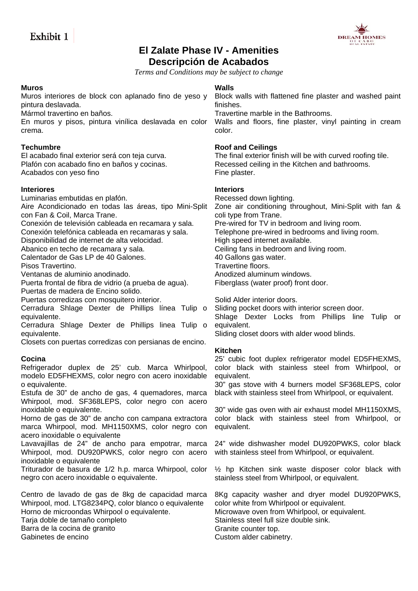

# **El Zalate Phase IV - Amenities Descripción de Acabados**

*Terms and Conditions may be subject to change* 

### **Muros**

Muros interiores de block con aplanado fino de yeso y pintura deslavada.

Mármol travertino en baños.

En muros y pisos, pintura vinílica deslavada en color crema.

### **Techumbre**

El acabado final exterior será con teja curva. Plafón con acabado fino en baños y cocinas. Acabados con yeso fino

## **Interiores**

Luminarias embutidas en plafón.

Aire Acondicionado en todas las áreas, tipo Mini-Split con Fan & Coil, Marca Trane.

Conexión de televisión cableada en recamara y sala.

Conexión telefónica cableada en recamaras y sala.

Disponibilidad de internet de alta velocidad.

Abanico en techo de recamara y sala.

Calentador de Gas LP de 40 Galones.

Pisos Travertino.

Ventanas de aluminio anodinado.

Puerta frontal de fibra de vidrio (a prueba de agua).

Puertas de madera de Encino solido.

Puertas corredizas con mosquitero interior.

Cerradura Shlage Dexter de Phillips línea Tulip o equivalente.

Cerradura Shlage Dexter de Phillips linea Tulip o equivalente.

Closets con puertas corredizas con persianas de encino.

### **Cocina**

Refrigerador duplex de 25' cub. Marca Whirlpool, modelo ED5FHEXMS, color negro con acero inoxidable o equivalente.

Estufa de 30" de ancho de gas, 4 quemadores, marca Whirpool, mod. SF368LEPS, color negro con acero inoxidable o equivalente.

Horno de gas de 30" de ancho con campana extractora marca Whirpool, mod. MH1150XMS, color negro con acero inoxidable o equivalente

Lavavajillas de 24" de ancho para empotrar, marca Whirpool, mod. DU920PWKS, color negro con acero inoxidable o equivalente

Triturador de basura de 1/2 h.p. marca Whirpool, color negro con acero inoxidable o equivalente.

Centro de lavado de gas de 8kg de capacidad marca Whirpool, mod. LTG8234PQ, color blanco o equivalente Horno de microondas Whirpool o equivalente. Tarja doble de tamaño completo Barra de la cocina de granito Gabinetes de encino

# **Walls**

Block walls with flattened fine plaster and washed paint finishes.

Travertine marble in the Bathrooms.

Walls and floors, fine plaster, vinyl painting in cream color.

### **Roof and Ceilings**

The final exterior finish will be with curved roofing tile. Recessed ceiling in the Kitchen and bathrooms. Fine plaster.

## **Interiors**

Recessed down lighting. Zone air conditioning throughout, Mini-Split with fan & coli type from Trane. Pre-wired for TV in bedroom and living room. Telephone pre-wired in bedrooms and living room. High speed internet available. Ceiling fans in bedroom and living room. 40 Gallons gas water. Travertine floors. Anodized aluminum windows. Fiberglass (water proof) front door.

Solid Alder interior doors.

Sliding pocket doors with interior screen door. Shlage Dexter Locks from Phillips line Tulip or equivalent. Sliding closet doors with alder wood blinds.

### **Kitchen**

25' cubic foot duplex refrigerator model ED5FHEXMS, color black with stainless steel from Whirlpool, or equivalent.

30" gas stove with 4 burners model SF368LEPS, color black with stainless steel from Whirlpool, or equivalent.

30" wide gas oven with air exhaust model MH1150XMS, color black with stainless steel from Whirlpool, or equivalent.

24" wide dishwasher model DU920PWKS, color black with stainless steel from Whirlpool, or equivalent.

½ hp Kitchen sink waste disposer color black with stainless steel from Whirlpool, or equivalent.

8Kg capacity washer and dryer model DU920PWKS, color white from Whirlpool or equivalent. Microwave oven from Whirlpool, or equivalent. Stainless steel full size double sink. Granite counter top. Custom alder cabinetry.